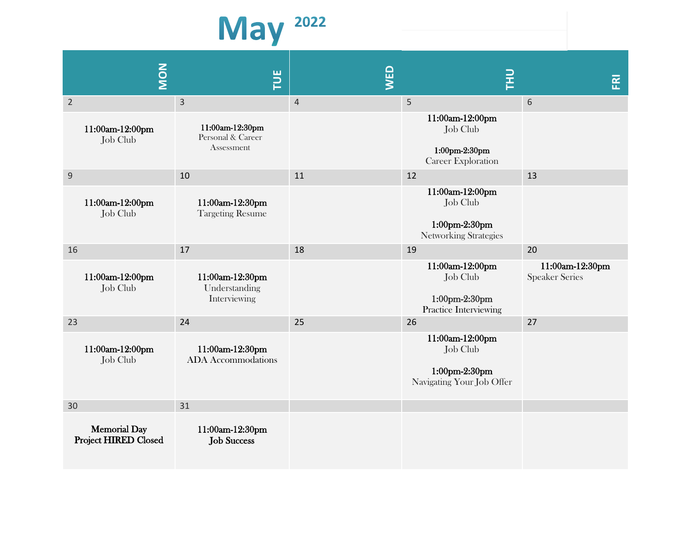

|                | <b>NON</b>                                         | FUE                                                | WED            | 굳                                                                            | 준                                        |
|----------------|----------------------------------------------------|----------------------------------------------------|----------------|------------------------------------------------------------------------------|------------------------------------------|
| $\overline{2}$ |                                                    | 3                                                  | $\overline{4}$ | 5                                                                            | 6                                        |
|                | 11:00am-12:00pm<br>Job Club                        | 11:00am-12:30pm<br>Personal & Career<br>Assessment |                | 11:00am-12:00pm<br>Job Club<br>1:00pm-2:30pm<br><b>Career Exploration</b>    |                                          |
| $9\,$          |                                                    | 10                                                 | 11             | 12                                                                           | 13                                       |
|                | 11:00am-12:00pm<br>Job Club                        | 11:00am-12:30pm<br><b>Targeting Resume</b>         |                | 11:00am-12:00pm<br>Job Club<br>1:00pm-2:30pm<br><b>Networking Strategies</b> |                                          |
| 16             |                                                    | 17                                                 | 18             | 19                                                                           | 20                                       |
|                | 11:00am-12:00pm<br>Job Club                        | 11:00am-12:30pm<br>Understanding<br>Interviewing   |                | 11:00am-12:00pm<br>Job Club<br>1:00pm-2:30pm<br>Practice Interviewing        | 11:00am-12:30pm<br><b>Speaker Series</b> |
| 23             |                                                    | 24                                                 | 25             | 26                                                                           | 27                                       |
|                | 11:00am-12:00pm<br>Job Club                        | 11:00am-12:30pm<br><b>ADA</b> Accommodations       |                | 11:00am-12:00pm<br>Job Club<br>1:00pm-2:30pm<br>Navigating Your Job Offer    |                                          |
| 30             |                                                    | 31                                                 |                |                                                                              |                                          |
|                | <b>Memorial Day</b><br><b>Project HIRED Closed</b> | 11:00am-12:30pm<br><b>Job Success</b>              |                |                                                                              |                                          |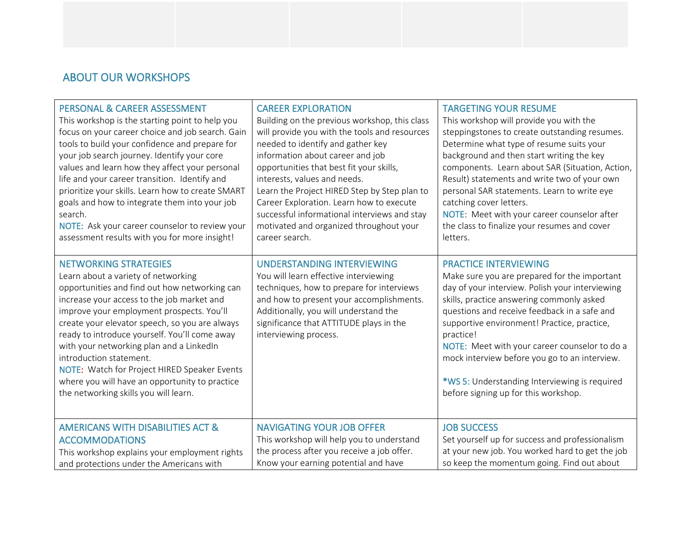## ABOUT OUR WORKSHOPS

| <b>PERSONAL &amp; CAREER ASSESSMENT</b>                                                                                                                                                                                                                                                                                                                                                                                                                                                                                              | <b>CAREER EXPLORATION</b>                                                                                                                                                                                                                                                        | <b>TARGETING YOUR RESUME</b>                                                                                                                                                                                                                                                                                                                                                                                                                                                        |
|--------------------------------------------------------------------------------------------------------------------------------------------------------------------------------------------------------------------------------------------------------------------------------------------------------------------------------------------------------------------------------------------------------------------------------------------------------------------------------------------------------------------------------------|----------------------------------------------------------------------------------------------------------------------------------------------------------------------------------------------------------------------------------------------------------------------------------|-------------------------------------------------------------------------------------------------------------------------------------------------------------------------------------------------------------------------------------------------------------------------------------------------------------------------------------------------------------------------------------------------------------------------------------------------------------------------------------|
| This workshop is the starting point to help you                                                                                                                                                                                                                                                                                                                                                                                                                                                                                      | Building on the previous workshop, this class                                                                                                                                                                                                                                    | This workshop will provide you with the                                                                                                                                                                                                                                                                                                                                                                                                                                             |
| focus on your career choice and job search. Gain                                                                                                                                                                                                                                                                                                                                                                                                                                                                                     | will provide you with the tools and resources                                                                                                                                                                                                                                    | steppingstones to create outstanding resumes.                                                                                                                                                                                                                                                                                                                                                                                                                                       |
| tools to build your confidence and prepare for                                                                                                                                                                                                                                                                                                                                                                                                                                                                                       | needed to identify and gather key                                                                                                                                                                                                                                                | Determine what type of resume suits your                                                                                                                                                                                                                                                                                                                                                                                                                                            |
| your job search journey. Identify your core                                                                                                                                                                                                                                                                                                                                                                                                                                                                                          | information about career and job                                                                                                                                                                                                                                                 | background and then start writing the key                                                                                                                                                                                                                                                                                                                                                                                                                                           |
| values and learn how they affect your personal                                                                                                                                                                                                                                                                                                                                                                                                                                                                                       | opportunities that best fit your skills,                                                                                                                                                                                                                                         | components. Learn about SAR (Situation, Action,                                                                                                                                                                                                                                                                                                                                                                                                                                     |
| life and your career transition. Identify and                                                                                                                                                                                                                                                                                                                                                                                                                                                                                        | interests, values and needs.                                                                                                                                                                                                                                                     | Result) statements and write two of your own                                                                                                                                                                                                                                                                                                                                                                                                                                        |
| prioritize your skills. Learn how to create SMART                                                                                                                                                                                                                                                                                                                                                                                                                                                                                    | Learn the Project HIRED Step by Step plan to                                                                                                                                                                                                                                     | personal SAR statements. Learn to write eye                                                                                                                                                                                                                                                                                                                                                                                                                                         |
| goals and how to integrate them into your job                                                                                                                                                                                                                                                                                                                                                                                                                                                                                        | Career Exploration. Learn how to execute                                                                                                                                                                                                                                         | catching cover letters.                                                                                                                                                                                                                                                                                                                                                                                                                                                             |
| search.                                                                                                                                                                                                                                                                                                                                                                                                                                                                                                                              | successful informational interviews and stay                                                                                                                                                                                                                                     | NOTE: Meet with your career counselor after                                                                                                                                                                                                                                                                                                                                                                                                                                         |
| NOTE: Ask your career counselor to review your                                                                                                                                                                                                                                                                                                                                                                                                                                                                                       | motivated and organized throughout your                                                                                                                                                                                                                                          | the class to finalize your resumes and cover                                                                                                                                                                                                                                                                                                                                                                                                                                        |
| assessment results with you for more insight!                                                                                                                                                                                                                                                                                                                                                                                                                                                                                        | career search.                                                                                                                                                                                                                                                                   | letters.                                                                                                                                                                                                                                                                                                                                                                                                                                                                            |
| <b>NETWORKING STRATEGIES</b><br>Learn about a variety of networking<br>opportunities and find out how networking can<br>increase your access to the job market and<br>improve your employment prospects. You'll<br>create your elevator speech, so you are always<br>ready to introduce yourself. You'll come away<br>with your networking plan and a LinkedIn<br>introduction statement.<br>NOTE: Watch for Project HIRED Speaker Events<br>where you will have an opportunity to practice<br>the networking skills you will learn. | <b>UNDERSTANDING INTERVIEWING</b><br>You will learn effective interviewing<br>techniques, how to prepare for interviews<br>and how to present your accomplishments.<br>Additionally, you will understand the<br>significance that ATTITUDE plays in the<br>interviewing process. | <b>PRACTICE INTERVIEWING</b><br>Make sure you are prepared for the important<br>day of your interview. Polish your interviewing<br>skills, practice answering commonly asked<br>questions and receive feedback in a safe and<br>supportive environment! Practice, practice,<br>practice!<br>NOTE: Meet with your career counselor to do a<br>mock interview before you go to an interview.<br>*WS 5: Understanding Interviewing is required<br>before signing up for this workshop. |
| <b>AMERICANS WITH DISABILITIES ACT &amp;</b>                                                                                                                                                                                                                                                                                                                                                                                                                                                                                         | <b>NAVIGATING YOUR JOB OFFER</b>                                                                                                                                                                                                                                                 | <b>JOB SUCCESS</b>                                                                                                                                                                                                                                                                                                                                                                                                                                                                  |
| <b>ACCOMMODATIONS</b>                                                                                                                                                                                                                                                                                                                                                                                                                                                                                                                | This workshop will help you to understand                                                                                                                                                                                                                                        | Set yourself up for success and professionalism                                                                                                                                                                                                                                                                                                                                                                                                                                     |
| This workshop explains your employment rights                                                                                                                                                                                                                                                                                                                                                                                                                                                                                        | the process after you receive a job offer.                                                                                                                                                                                                                                       | at your new job. You worked hard to get the job                                                                                                                                                                                                                                                                                                                                                                                                                                     |
| and protections under the Americans with                                                                                                                                                                                                                                                                                                                                                                                                                                                                                             | Know your earning potential and have                                                                                                                                                                                                                                             | so keep the momentum going. Find out about                                                                                                                                                                                                                                                                                                                                                                                                                                          |